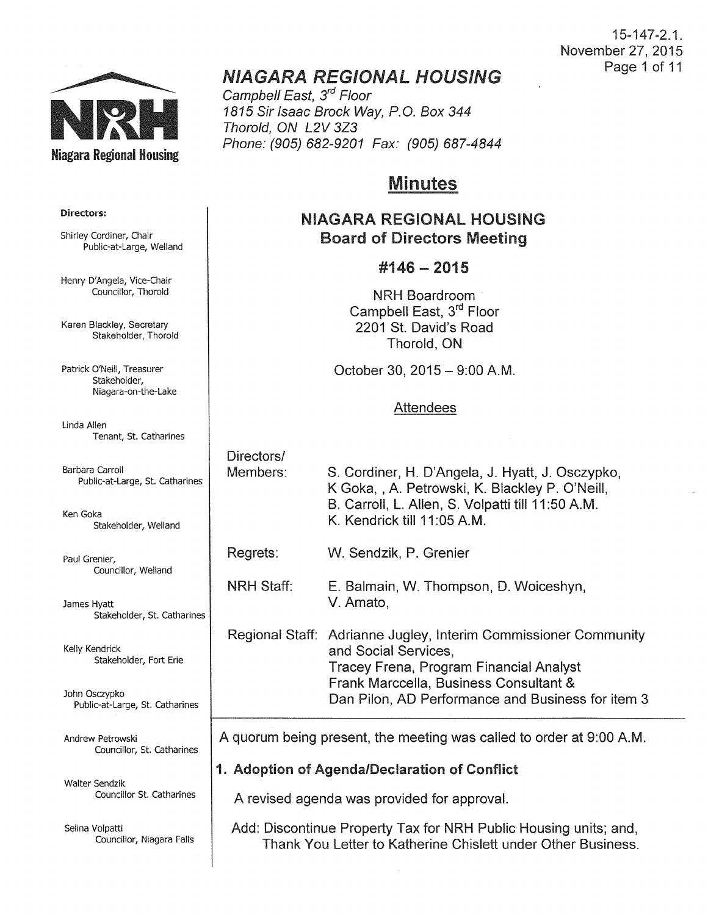

# NIAGARA REGIONAL HOUSING

Campbell East, 3<sup>rd</sup> Floor 1815 Sir Isaac Brock Way, P.O. Box 344 Thorold, ON L2V 3Z3 Phone: (905) 682-9201 Fax: (905) 687-4844

## Minutes

## NIAGARA REGIONAL HOUSING Board of Directors Meeting

## #146- 2015

NRH Boardroom Campbell East, 3<sup>rd</sup> Floor 2201 St. David's Road Thorold, ON

October 30, 2015 - 9:00 A.M.

## Attendees

| Barbara Carroll<br>Public-at-Large, St. Catharines | Directors/<br>Members:                                               | S. Cordiner, H. D'Angela, J. Hyatt, J. Osczypko,<br>K Goka, , A. Petrowski, K. Blackley P. O'Neill,                                |  |
|----------------------------------------------------|----------------------------------------------------------------------|------------------------------------------------------------------------------------------------------------------------------------|--|
| Ken Goka<br>Stakeholder, Welland                   |                                                                      | B. Carroll, L. Allen, S. Volpatti till 11:50 A.M.<br>K. Kendrick till 11:05 A.M.                                                   |  |
| Paul Grenier,<br>Councillor, Welland               | Regrets:                                                             | W. Sendzik, P. Grenier                                                                                                             |  |
| James Hyatt<br>Stakeholder, St. Catharines         | <b>NRH Staff:</b>                                                    | E. Balmain, W. Thompson, D. Woiceshyn,<br>V. Amato,                                                                                |  |
| Kelly Kendrick<br>Stakeholder, Fort Erie           |                                                                      | Regional Staff: Adrianne Jugley, Interim Commissioner Community<br>and Social Services,<br>Tracey Frena, Program Financial Analyst |  |
| John Osczypko<br>Public-at-Large, St. Catharines   |                                                                      | Frank Marccella, Business Consultant &<br>Dan Pilon, AD Performance and Business for item 3                                        |  |
| Andrew Petrowski<br>Councillor, St. Catharines     | A quorum being present, the meeting was called to order at 9:00 A.M. |                                                                                                                                    |  |
|                                                    | 1. Adoption of Agenda/Declaration of Conflict                        |                                                                                                                                    |  |
| Walter Sendzik<br>Councillor St. Catharines        | A revised agenda was provided for approval.                          |                                                                                                                                    |  |

Add: Discontinue Property Tax for NRH Public Housing units; and, Thank You Letter to Katherine Chislett under Other Business.

#### Directors:

Shirley Cordiner, Chair Public-at-Large, Weiland

Henry D'Angela, Vice-Chair Councillor, Thorold

Karen Blackley, Secretary Stakeholder, Thorold

Patrick O'Neill, Treasurer Stakeholder, Niagara-on-the-Lake

Linda Allen Tenant, St. Catharines

Selina Volpatti Councillor, Niagara Falls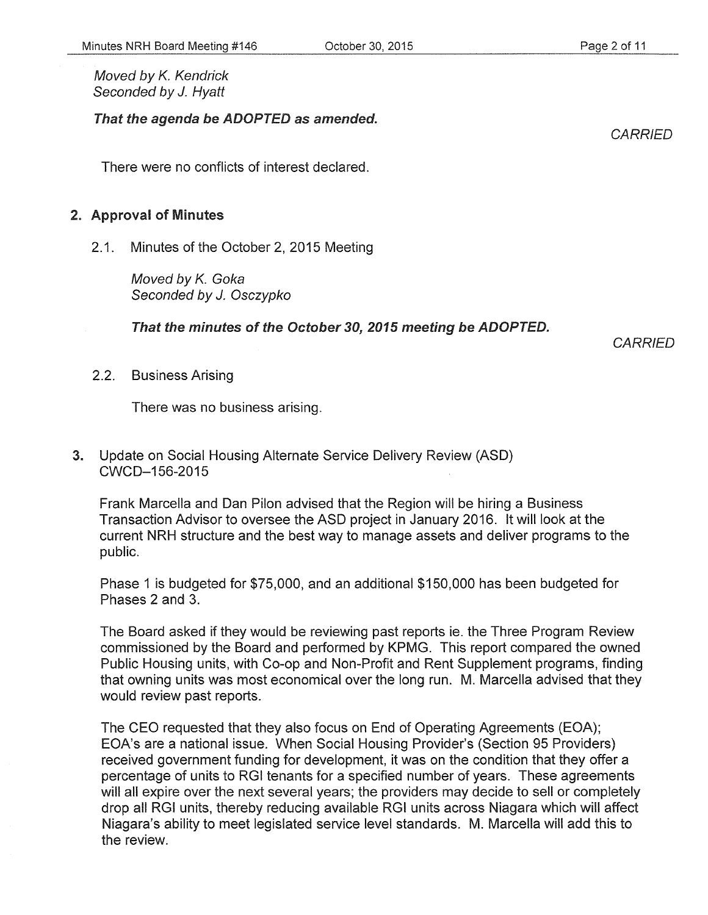#### That the agenda be ADOPTED as amended.

There were no conflicts of interest declared.

### 2. Approval of Minutes

2.1. Minutes of the October 2, 2015 Meeting

Moved by K. Goka Seconded by *J.* Osczypko

That the minutes of the October 30, 2015 meeting be ADOPTED.

October 30, 2015

**CARRIED** 

2.2. Business Arising

There was no business arising.

3. Update on Social Housing Alternate Service Delivery Review (ASD) CWCD-156-2015

Frank Marcella and Dan Pilon advised that the Region will be hiring a Business Transaction Advisor to oversee the ASD project in January 2016. It will look at the current NRH structure and the best way to manage assets and deliver programs to the public.

Phase 1 is budgeted for \$75,000, and an additional \$150,000 has been budgeted for Phases 2 and 3.

The Board asked if they would be reviewing past reports ie. the Three Program Review commissioned by the Board and performed by KPMG. This report compared the owned Public Housing units, with Co-op and Non-Profit and Rent Supplement programs, finding that owning units was most economical over the long run. M. Marcella advised that they would review past reports.

The CEO requested that they also focus on End of Operating Agreements (EOA); EOA's are a national issue. When Social Housing Provider's (Section 95 Providers) received government funding for development, it was on the condition that they offer a percentage of units to RGI tenants for a specified number of years. These agreements will all expire over the next several years; the providers may decide to sell or completely drop all RGI units, thereby reducing available RGI units across Niagara which will affect Niagara's ability to meet legislated service level standards. M. Marcella will add this to the review.

**CARRIED**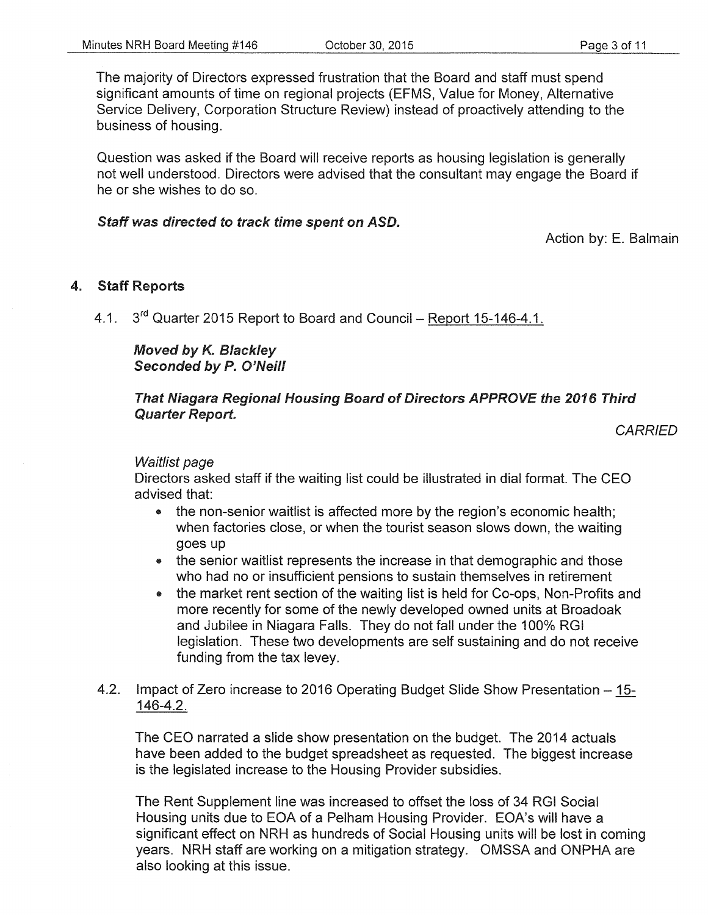The majority of Directors expressed frustration that the Board and staff must spend significant amounts of time on regional projects (EFMS, Value for Money, Alternative Service Delivery, Corporation Structure Review) instead of proactively attending to the business of housing.

Question was asked if the Board will receive reports as housing legislation is generally not well understood. Directors were advised that the consultant may engage the Board if he or she wishes to do so.

### Staff was directed to track time spent on ASD.

Action by: E. Balmain

## 4. Staff Reports

4.1. 3<sup>rd</sup> Quarter 2015 Report to Board and Council – Report 15-146-4.1.

Moved by *K.* Blackley Seconded by P. O'Neill

## That Niagara Regional Housing Board of Directors APPROVE the 2016 Third Quarter Report.

**CARRIED** 

#### Waitlist page

Directors asked staff if the waiting list could be illustrated in dial format. The CEO advised that:

- the non-senior waitlist is affected more by the region's economic health; when factories close, or when the tourist season slows down, the waiting goes up
- the senior waitlist represents the increase in that demographic and those who had no or insufficient pensions to sustain themselves in retirement
- the market rent section of the waiting list is held for Co-ops, Non-Profits and more recently for some of the newly developed owned units at Broadoak and Jubilee in Niagara Falls. They do not fall under the 100% RGI legislation. These two developments are self sustaining and do not receive funding from the tax Ievey.
- 4.2. Impact of Zero increase to 2016 Operating Budget Slide Show Presentation- 15- 146-4.2.

The CEO narrated a slide show presentation on the budget. The 2014 actuals have been added to the budget spreadsheet as requested. The biggest increase is the legislated increase to the Housing Provider subsidies.

The Rent Supplement line was increased to offset the loss of 34 RGI Social Housing units due to EOA of a Pelham Housing Provider. EOA's will have a significant effect on NRH as hundreds of Social Housing units will be lost in coming years. NRH staff are working on a mitigation strategy. OMSSA and ONPHA are also looking at this issue.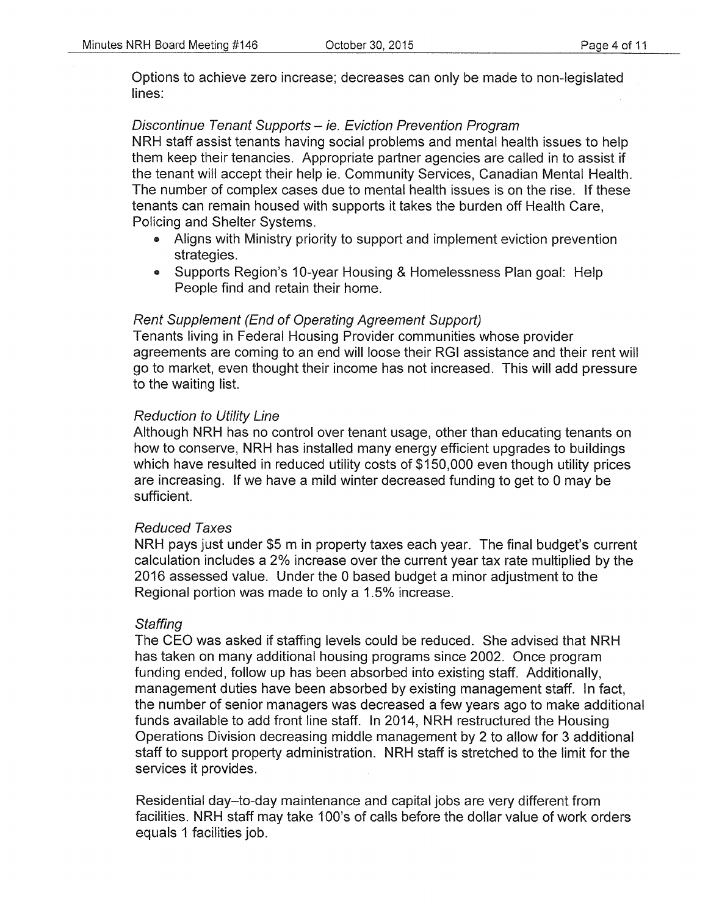Options to achieve zero increase; decreases can only be made to non-legislated lines:

## Discontinue Tenant Supports - ie. Eviction Prevention Program

NRH staff assist tenants having social problems and mental health issues to help them keep their tenancies. Appropriate partner agencies are called in to assist if the tenant will accept their help ie. Community Services, Canadian Mental Health. The number of complex cases due to mental health issues is on the rise. If these tenants can remain housed with supports it takes the burden off Health Care, Policing and Shelter Systems.

- Aligns with Ministry priority to support and implement eviction prevention strategies.
- Supports Region's 10-year Housing & Homelessness Plan goal: Help People find and retain their home.

## Rent Supplement (End of Operating Agreement Support)

Tenants living in Federal Housing Provider communities whose provider agreements are coming to an end will loose their RGI assistance and their rent will go to market, even thought their income has not increased. This will add pressure to the waiting list.

## Reduction to Utility Line

Although NRH has no control over tenant usage, other than educating tenants on how to conserve, NRH has installed many energy efficient upgrades to buildings which have resulted in reduced utility costs of \$150,000 even though utility prices are increasing. If we have a mild winter decreased funding to get to 0 may be sufficient.

## Reduced Taxes

NRH pays just under \$5 m in property taxes each year. The final budget's current calculation includes a 2% increase over the current year tax rate multiplied by the 2016 assessed value. Under the 0 based budget a minor adjustment to the Regional portion was made to only a 1.5% increase.

## **Staffing**

The CEO was asked if staffing levels could be reduced. She advised that NRH has taken on many additional housing programs since 2002. Once program funding ended, follow up has been absorbed into existing staff. Additionally, management duties have been absorbed by existing management staff. In fact, the number of senior managers was decreased a few years ago to make additional funds available to add front line staff. In 2014, NRH restructured the Housing Operations Division decreasing middle management by 2 to allow for 3 additional staff to support property administration. NRH staff is stretched to the limit for the services it provides.

Residential day-to-day maintenance and capital jobs are very different from facilities. NRH staff may take 100's of calls before the dollar value of work orders equals 1 facilities job.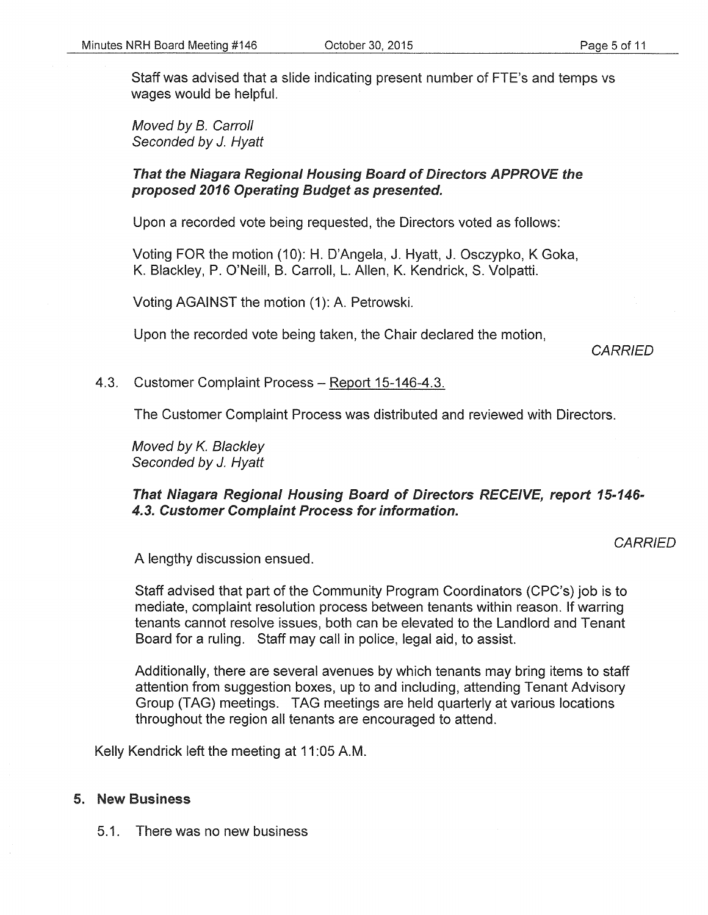Staff was advised that a slide indicating present number of FTE's and temps vs wages would be helpful.

Moved by B. Carroll Seconded by J. Hyatt

#### That the Niagara Regional Housing Board of Directors APPROVE the proposed 2016 Operating Budget as presented.

Upon a recorded vote being requested, the Directors voted as follows:

Voting FOR the motion (10): H. D'Angela, J. Hyatt, J. Osczypko, K Goka, K. Blackley, P. O'Neill, B. Carroll, L. Allen, K. Kendrick, S. Volpatti.

Voting AGAINST the motion (1): A. Petrowski.

Upon the recorded vote being taken, the Chair declared the motion,

**CARRIED** 

#### 4.3. Customer Complaint Process- Report 15-146-4.3.

The Customer Complaint Process was distributed and reviewed with Directors.

Moved by K. Blackley Seconded by J. Hyatt

### That Niagara Regional Housing Board of Directors RECEIVE, report 15-146- 4.3. Customer Complaint Process for information.

**CARRIED** 

A lengthy discussion ensued.

Staff advised that part of the Community Program Coordinators (CPC's) job is to mediate, complaint resolution process between tenants within reason. If warring tenants cannot resolve issues, both can be elevated to the Landlord and Tenant Board for a ruling. Staff may call in police, legal aid, to assist.

Additionally, there are several avenues by which tenants may bring items to staff attention from suggestion boxes, up to and including, attending Tenant Advisory Group (TAG) meetings. TAG meetings are held quarterly at various locations throughout the region all tenants are encouraged to attend.

Kelly Kendrick left the meeting at 11 :05 A.M.

#### 5. New Business

5.1. There was no new business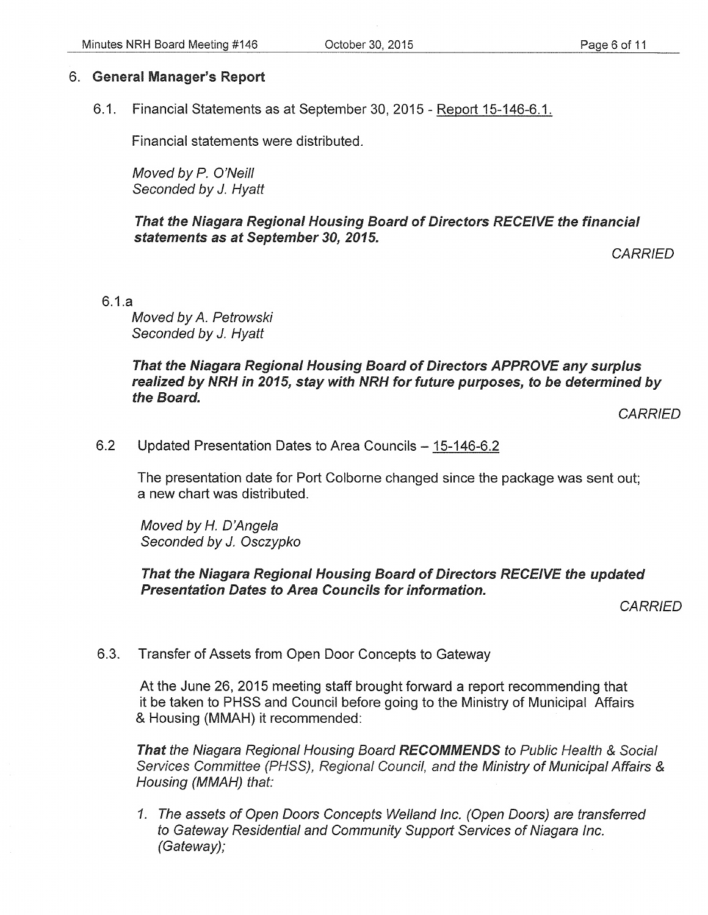## 6. General Manager's Report

6.1. Financial Statements as at September 30, 2015- Report 15-146-6.1.

Financial statements were distributed.

Moved by P. O'Neill Seconded by *J.* Hyatt

That the Niagara Regional Housing Board of Directors RECEIVE the financial statements as at September 30, 2015.

**CARRIED** 

6.1.a

Moved by A. Petrowski Seconded by *J.* Hyatt

## That the Niagara Regional Housing Board of Directors APPROVE any surplus realized by NRH in 2015, stay with NRH for future purposes, to be determined by the Board.

**CARRIED** 

6.2 Updated Presentation Dates to Area Councils- 15-146-6.2

The presentation date for Port Colborne changed since the package was sent out; a new chart was distributed.

Moved by *H.* D'Angela Seconded by J. Osczypko

That the Niagara Regional Housing Board of Directors RECEIVE the updated Presentation Dates to Area Councils for information.

**CARRIED** 

6.3. Transfer of Assets from Open Door Concepts to Gateway

At the June 26, 2015 meeting staff brought forward a report recommending that it be taken to PHSS and Council before going to the Ministry of Municipal Affairs & Housing (MMAH) it recommended:

That the Niagara Regional Housing Board RECOMMENDS to Public Health & Social Services Committee (PHSS), Regional Council, and the Ministry of Municipal Affairs & Housing (MMAH) that:

1. The assets of Open Doors Concepts Weiland Inc. (Open Doors) are transferred to Gateway Residential and Community Support Services of Niagara Inc. (Gateway);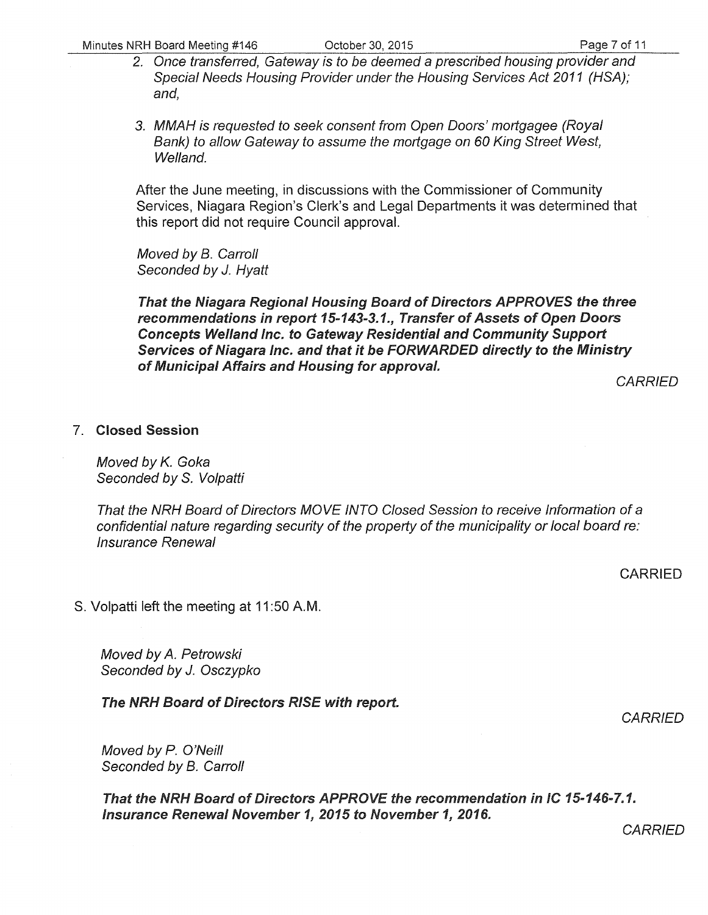- 2. Once transferred, Gateway is to be deemed a prescribed housing provider and Special Needs Housing Provider under the Housing Services Act 2011 (HSA); and,
- 3. MMAH is requested to seek consent from Open Doors' mortgagee (Royal Bank) to allow Gateway to assume the mortgage on 60 King Street West, Welland.

After the June meeting, in discussions with the Commissioner of Community Services, Niagara Region's Clerk's and Legal Departments it was determined that this report did not require Council approval.

Moved by B. Carroll Seconded by *J.* Hyatt

That the Niagara Regional Housing Board of Directors APPROVES the three recommendations in report 15-143-3.1., Transfer of Assets of Open Doors Concepts Weiland Inc. to Gateway Residential and Community Support Services of Niagara Inc. and that it be FORWARDED directly to the Ministry of Municipal Affairs and Housing for approval.

**CARRIED** 

## 7. Closed Session

Moved by K. Goka Seconded by S. Volpatti

That the NRH Board of Directors MOVE INTO Closed Session to receive Information of a confidential nature regarding security of the property of the municipality or local board re: Insurance Renewal

CARRIED

S. Volpatti left the meeting at 11 :50 A.M.

Moved by *A.* Petrowski Seconded by *J.* Osczypko

The NRH Board of Directors RISE with report.

**CARRIED** 

Moved by *P.* O'Neill Seconded by B. Carroll

That the NRH Board of Directors APPROVE the recommendation in IC 15-146-7.1. Insurance Renewal November 1, 2015 to November 1, 2016.

**CARRIED**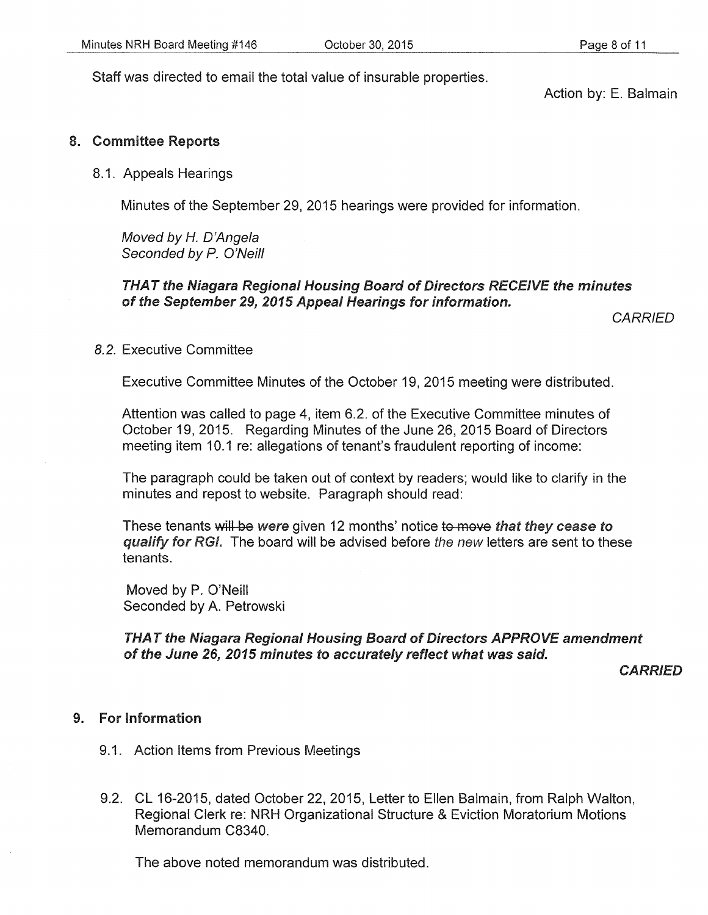Staff was directed to email the total value of insurable properties.

Action by: E. Balmain

### 8. Committee Reports

#### 8.1. Appeals Hearings

Minutes of the September 29, 2015 hearings were provided for information.

Moved by *H.* D'Angela Seconded by P. O'Neill

## THAT the Niagara Regional Housing Board of Directors RECEIVE the minutes of the September 29, 2015 Appeal Hearings for information.

**CARRIED** 

### *8.2.* Executive Committee

Executive Committee Minutes of the October 19, 2015 meeting were distributed.

Attention was called to page 4, item 6.2. of the Executive Committee minutes of October 19, 2015. Regarding Minutes of the June 26, 2015 Board of Directors meeting item 10.1 re: allegations of tenant's fraudulent reporting of income:

The paragraph could be taken out of context by readers; would like to clarify in the minutes and repost to website. Paragraph should read:

These tenants will be were given 12 months' notice to move that they cease to qualify for RGI. The board will be advised before the new letters are sent to these tenants.

Moved by P. O'Neill Seconded by A. Petrowski

THAT the Niagara Regional Housing Board of Directors APPROVE amendment of the June 26, 2015 minutes to accurately reflect what was said.

**CARRIED** 

#### 9. For Information

- 9.1. Action Items from Previous Meetings
- 9.2. CL 16-2015, dated October 22, 2015, Letter to Ellen Balmain, from Ralph Walton, Regional Clerk re: NRH Organizational Structure & Eviction Moratorium Motions Memorandum C8340.

The above noted memorandum was distributed.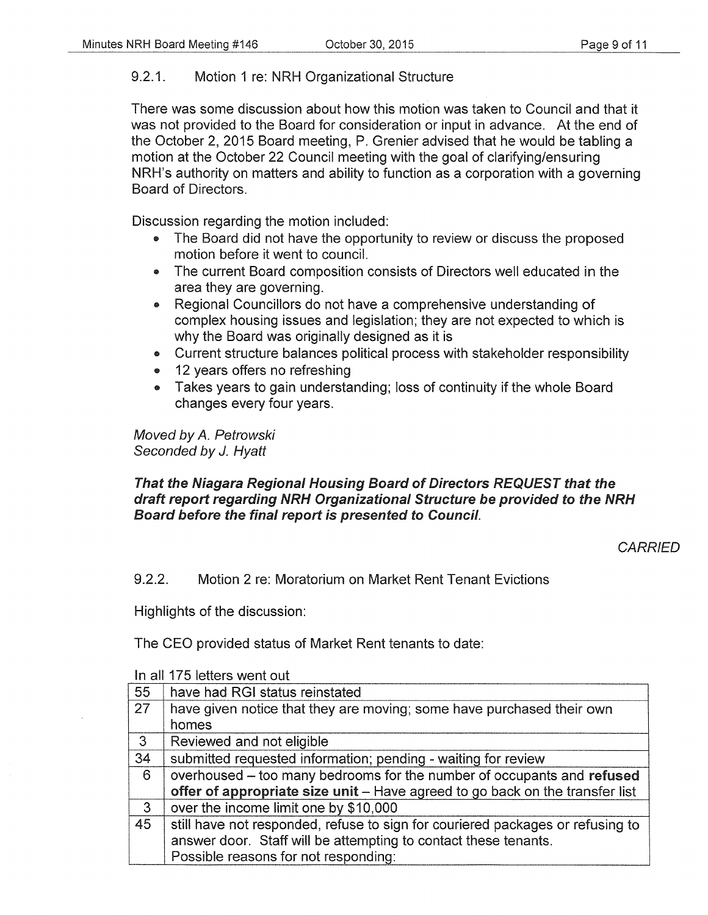## 9.2.1. Motion 1 re: NRH Organizational Structure

There was some discussion about how this motion was taken to Council and that it was not provided to the Board for consideration or input in advance. At the end of the October 2, 2015 Board meeting, P. Grenier advised that he would be tabling a motion at the October 22 Council meeting with the goal of clarifying/ensuring NRH's authority on matters and ability to function as a corporation with a governing Board of Directors.

Discussion regarding the motion included:

- The Board did not have the opportunity to review or discuss the proposed motion before it went to council.
- The current Board composition consists of Directors well educated in the area they are governing.
- Regional Councillors do not have a comprehensive understanding of complex housing issues and legislation; they are not expected to which is why the Board was originally designed as it is
- Current structure balances political process with stakeholder responsibility
- 12 years offers no refreshing
- Takes years to gain understanding; loss of continuity if the whole Board changes every four years.

Moved by *A.* Petrowski Seconded by J. Hyatt

## That the Niagara Regional Housing Board of Directors REQUEST that the draft report regarding NRH Organizational Structure be provided to the NRH Board before the final report is presented to Council.

**CARRIED** 

9.2.2. Motion 2 re: Moratorium on Market Rent Tenant Evictions

Highlights of the discussion:

The CEO provided status of Market Rent tenants to date:

| 55           | have had RGI status reinstated                                                 |  |
|--------------|--------------------------------------------------------------------------------|--|
| 27           | have given notice that they are moving; some have purchased their own          |  |
|              | homes                                                                          |  |
| 3            | Reviewed and not eligible                                                      |  |
| 34           | submitted requested information; pending - waiting for review                  |  |
| 6            | overhoused – too many bedrooms for the number of occupants and refused         |  |
|              | offer of appropriate size unit - Have agreed to go back on the transfer list   |  |
| $\mathbf{3}$ | over the income limit one by \$10,000                                          |  |
| 45           | still have not responded, refuse to sign for couriered packages or refusing to |  |
|              | answer door. Staff will be attempting to contact these tenants.                |  |
|              | Possible reasons for not responding:                                           |  |

In all 175 letters went out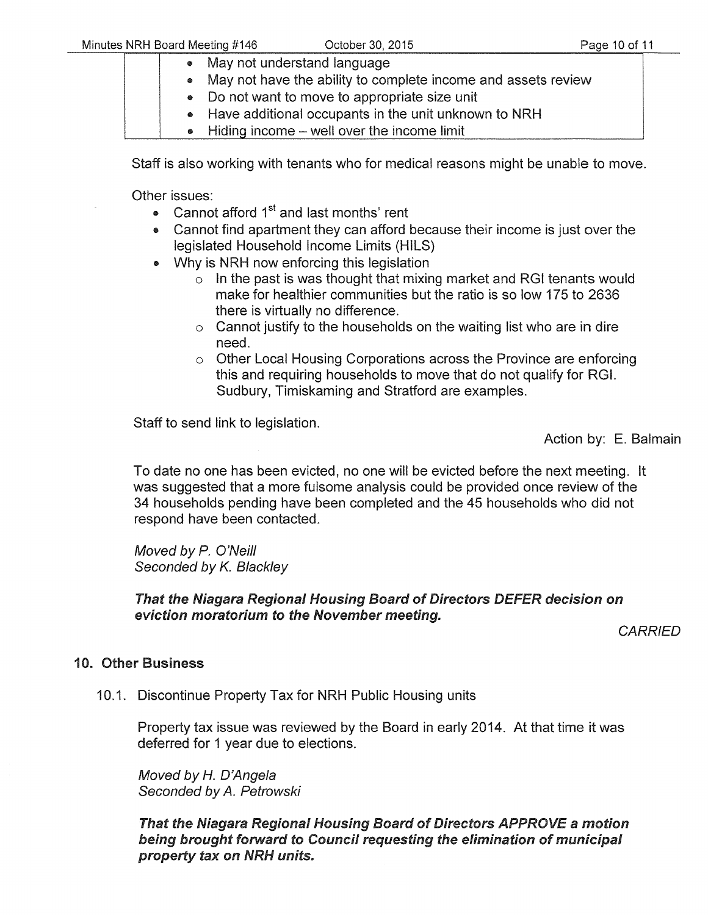- May not understand language
- May not have the ability to complete income and assets review
- Do not want to move to appropriate size unit
- Have additional occupants in the unit unknown to NRH
- Hiding income well over the income limit

Staff is also working with tenants who for medical reasons might be unable to move.

Other issues:

- Cannot afford  $1<sup>st</sup>$  and last months' rent
- Cannot find apartment they can afford because their income is just over the legislated Household Income Limits (HILS)
- Why is NRH now enforcing this legislation
	- o In the past is was thought that mixing market and RGI tenants would make for healthier communities but the ratio is so low 175 to 2636 there is virtually no difference.
	- $\circ$  Cannot justify to the households on the waiting list who are in dire need.
	- o Other Local Housing Corporations across the Province are enforcing this and requiring households to move that do not qualify for RGI. Sudbury, Timiskaming and Stratford are examples.

Staff to send link to legislation.

Action by: E. Balmain

To date no one has been evicted, no one will be evicted before the next meeting. It was suggested that a more fulsome analysis could be provided once review of the 34 households pending have been completed and the 45 households who did not respond have been contacted.

Moved by P. O'Neill Seconded by *K.* Blackley

## That the Niagara Regional Housing Board of Directors DEFER decision on eviction moratorium to the November meeting.

**CARRIED** 

## 10. Other Business

10.1. Discontinue Property Tax for NRH Public Housing units

Property tax issue was reviewed by the Board in early 2014. At that time it was deferred for 1 year due to elections.

Moved by *H.* D'Ange/a Seconded by *A.* Petrowski

That the Niagara Regional Housing Board of Directors APPROVE a motion being brought forward to Council requesting the elimination of municipal property tax on NRH units.